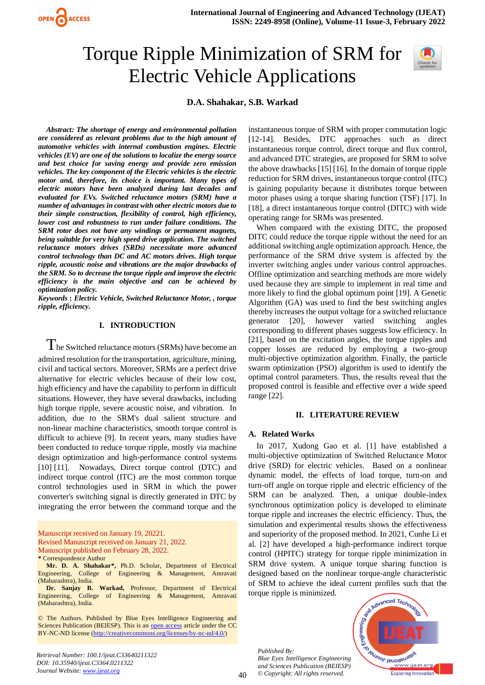

# Torque Ripple Minimization of SRM for Electric Vehicle Applications



# **D.A. Shahakar, S.B. Warkad**

*Abstract: The shortage of energy and environmental pollution are considered as relevant problems due to the high amount of automotive vehicles with internal combustion engines. Electric vehicles (EV) are one of the solutions to localize the energy source and best choice for saving energy and provide zero emission vehicles. The key component of the Electric vehicles is the electric motor and, therefore, its choice is important. Many types of electric motors have been analyzed during last decades and evaluated for EVs. Switched reluctance motors (SRM) have a number of advantages in contrast with other electric motors due to their simple construction, flexibility of control, high efficiency, lower cost and robustness to run under failure conditions. The SRM rotor does not have any windings or permanent magnets, being suitable for very high speed drive application. The switched reluctance motors drives (SRDs) necessitate more advanced control technology than DC and AC motors drives. High torque ripple, acoustic noise and vibrations are the major drawbacks of the SRM. So to decrease the torque ripple and improve the electric efficiency is the main objective and can be achieved by optimization policy.*

*Keywords* **:** *Electric Vehicle, Switched Reluctance Motor, , torque ripple, efficiency.*

### **I. INTRODUCTION**

 $T$ he Switched reluctance motors (SRMs) have become an admired resolution for the transportation, agriculture, mining, civil and tactical sectors. Moreover, SRMs are a perfect drive alternative for electric vehicles because of their low cost, high efficiency and have the capability to perform in difficult situations. However, they have several drawbacks, including high torque ripple, severe acoustic noise, and vibration. In addition, due to the SRM's dual salient structure and non-linear machine characteristics, smooth torque control is difficult to achieve [9]. In recent years, many studies have been conducted to reduce torque ripple, mostly via machine design optimization and high-performance control systems [10] [11]. Nowadays, Direct torque control (DTC) and indirect torque control (ITC) are the most common torque control technologies used in SRM in which the power converter's switching signal is directly generated in DTC by integrating the error between the command torque and the

Manuscript received on January 19, 20221. Revised Manuscript received on January 21, 2022. Manuscript published on February 28, 2022. **\*** Correspondence Author

**Mr. D. A. Shahakar\*,** Ph.D. Scholar, Department of Electrical Engineering, College of Engineering & Management, Amravati (Maharashtra), India.

**Dr. Sanjay B. Warkad,** Professor, Department of Electrical Engineering, College of Engineering & Management, Amravati (Maharashtra), India.

© The Authors. Published by Blue Eyes Intelligence Engineering and Sciences Publication (BEIESP). This is an [open access](https://www.openaccess.nl/en/open-publications) article under the CC BY-NC-ND license [\(http://creativecommons.org/licenses/by-nc-nd/4.0/\)](http://creativecommons.org/licenses/by-nc-nd/4.0/)

instantaneous torque of SRM with proper commutation logic [12-14]. Besides, DTC approaches such as direct instantaneous torque control, direct torque and flux control, and advanced DTC strategies, are proposed for SRM to solve the above drawbacks [15] [16]. In the domain of torque ripple reduction for SRM drives, instantaneous torque control (ITC) is gaining popularity because it distributes torque between motor phases using a torque sharing function (TSF) [17]. In [18], a direct instantaneous torque control (DITC) with wide operating range for SRMs was presented.

When compared with the existing DITC, the proposed DITC could reduce the torque ripple without the need for an additional switching angle optimization approach. Hence, the performance of the SRM drive system is affected by the inverter switching angles under various control approaches. Offline optimization and searching methods are more widely used because they are simple to implement in real time and more likely to find the global optimum point [19]. A Genetic Algorithm (GA) was used to find the best switching angles thereby increases the output voltage for a switched reluctance generator [20], however varied switching angles corresponding to different phases suggests low efficiency. In [21], based on the excitation angles, the torque ripples and copper losses are reduced by employing a two-group multi-objective optimization algorithm. Finally, the particle swarm optimization (PSO) algorithm is used to identify the optimal control parameters. Thus, the results reveal that the proposed control is feasible and effective over a wide speed range [22].

#### **II. LITERATURE REVIEW**

#### **A. Related Works**

In 2017, Xudong Gao et al. [1] have established a multi-objective optimization of Switched Reluctance Motor drive (SRD) for electric vehicles. Based on a nonlinear dynamic model, the effects of load torque, turn-on and turn-off angle on torque ripple and electric efficiency of the SRM can be analyzed. Then, a unique double-index synchronous optimization policy is developed to eliminate torque ripple and increases the electric efficiency. Thus, the simulation and experimental results shows the effectiveness and superiority of the proposed method. In 2021, Cunhe Li et al. [2] have developed a high-performance indirect torque control (HPITC) strategy for torque ripple minimization in SRM drive system. A unique torque sharing function is designed based on the nonlinear torque-angle characteristic of SRM to achieve the ideal current profiles such that the torque ripple is minimized.

*Published By: Blue Eyes Intelligence Engineering and Sciences Publication (BEIESP) © Copyright: All rights reserved.*

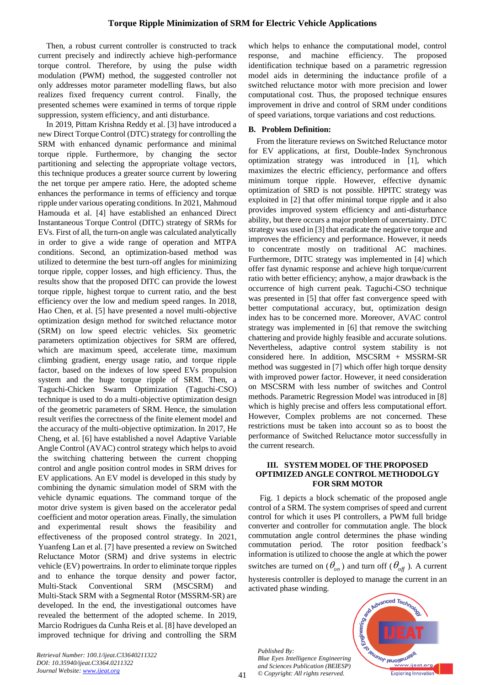Then, a robust current controller is constructed to track current precisely and indirectly achieve high-performance torque control. Therefore, by using the pulse width modulation (PWM) method, the suggested controller not only addresses motor parameter modelling flaws, but also realizes fixed frequency current control. Finally, the presented schemes were examined in terms of torque ripple suppression, system efficiency, and anti disturbance.

In 2019, Pittam Krishna Reddy et al. [3] have introduced a new Direct Torque Control (DTC) strategy for controlling the SRM with enhanced dynamic performance and minimal torque ripple. Furthermore, by changing the sector partitioning and selecting the appropriate voltage vectors, this technique produces a greater source current by lowering the net torque per ampere ratio. Here, the adopted scheme enhances the performance in terms of efficiency and torque ripple under various operating conditions. In 2021, Mahmoud Hamouda et al. [4] have established an enhanced Direct Instantaneous Torque Control (DITC) strategy of SRMs for EVs. First of all, the turn-on angle was calculated analytically in order to give a wide range of operation and MTPA conditions. Second, an optimization-based method was utilized to determine the best turn-off angles for minimizing torque ripple, copper losses, and high efficiency. Thus, the results show that the proposed DITC can provide the lowest torque ripple, highest torque to current ratio, and the best efficiency over the low and medium speed ranges. In 2018, Hao Chen, et al. [5] have presented a novel multi-objective optimization design method for switched reluctance motor (SRM) on low speed electric vehicles. Six geometric parameters optimization objectives for SRM are offered, which are maximum speed, accelerate time, maximum climbing gradient, energy usage ratio, and torque ripple factor, based on the indexes of low speed EVs propulsion system and the huge torque ripple of SRM. Then, a Taguchi-Chicken Swarm Optimization (Taguchi-CSO) technique is used to do a multi-objective optimization design of the geometric parameters of SRM. Hence, the simulation result verifies the correctness of the finite element model and the accuracy of the multi-objective optimization. In 2017, He Cheng, et al. [6] have established a novel Adaptive Variable Angle Control (AVAC) control strategy which helps to avoid the switching chattering between the current chopping control and angle position control modes in SRM drives for EV applications. An EV model is developed in this study by combining the dynamic simulation model of SRM with the vehicle dynamic equations. The command torque of the motor drive system is given based on the accelerator pedal coefficient and motor operation areas. Finally, the simulation and experimental result shows the feasibility and effectiveness of the proposed control strategy. In 2021, Yuanfeng Lan et al. [7] have presented a review on Switched Reluctance Motor (SRM) and drive systems in electric vehicle (EV) powertrains. In order to eliminate torque ripples and to enhance the torque density and power factor, Multi-Stack Conventional SRM (MSCSRM) and Multi-Stack SRM with a Segmental Rotor (MSSRM-SR) are developed. In the end, the investigational outcomes have revealed the betterment of the adopted scheme. In 2019, Marcio Rodrigues da Cunha Reis et al. [8] have developed an improved technique for driving and controlling the SRM

which helps to enhance the computational model, control response, and machine efficiency. The proposed identification technique based on a parametric regression model aids in determining the inductance profile of a switched reluctance motor with more precision and lower computational cost. Thus, the proposed technique ensures improvement in drive and control of SRM under conditions of speed variations, torque variations and cost reductions.

# **B. Problem Definition:**

From the literature reviews on Switched Reluctance motor for EV applications, at first, Double-Index Synchronous optimization strategy was introduced in [1], which maximizes the electric efficiency, performance and offers minimum torque ripple. However, effective dynamic optimization of SRD is not possible. HPITC strategy was exploited in [2] that offer minimal torque ripple and it also provides improved system efficiency and anti-disturbance ability, but there occurs a major problem of uncertainty. DTC strategy was used in [3] that eradicate the negative torque and improves the efficiency and performance. However, it needs to concentrate mostly on traditional AC machines. Furthermore, DITC strategy was implemented in [4] which offer fast dynamic response and achieve high torque/current ratio with better efficiency; anyhow, a major drawback is the occurrence of high current peak. Taguchi-CSO technique was presented in [5] that offer fast convergence speed with better computational accuracy, but, optimization design index has to be concerned more. Moreover, AVAC control strategy was implemented in [6] that remove the switching chattering and provide highly feasible and accurate solutions. Nevertheless, adaptive control system stability is not considered here. In addition, MSCSRM + MSSRM-SR method was suggested in [7] which offer high torque density with improved power factor. However, it need consideration on MSCSRM with less number of switches and Control methods. Parametric Regression Model was introduced in [8] which is highly precise and offers less computational effort. However, Complex problems are not concerned. These restrictions must be taken into account so as to boost the performance of Switched Reluctance motor successfully in the current research.

# **III. SYSTEM MODEL OF THE PROPOSED OPTIMIZED ANGLE CONTROL METHODOLGY FOR SRM MOTOR**

Fig. 1 depicts a block schematic of the proposed angle control of a SRM. The system comprises of speed and current control for which it uses PI controllers, a PWM full bridge converter and controller for commutation angle. The block commutation angle control determines the phase winding commutation period. The rotor position feedback's information is utilized to choose the angle at which the power switches are turned on  $(\theta_{on})$  and turn off  $(\theta_{off})$ . A current hysteresis controller is deployed to manage the current in an activated phase winding.

*Published By: Blue Eyes Intelligence Engineering and Sciences Publication (BEIESP) © Copyright: All rights reserved.*

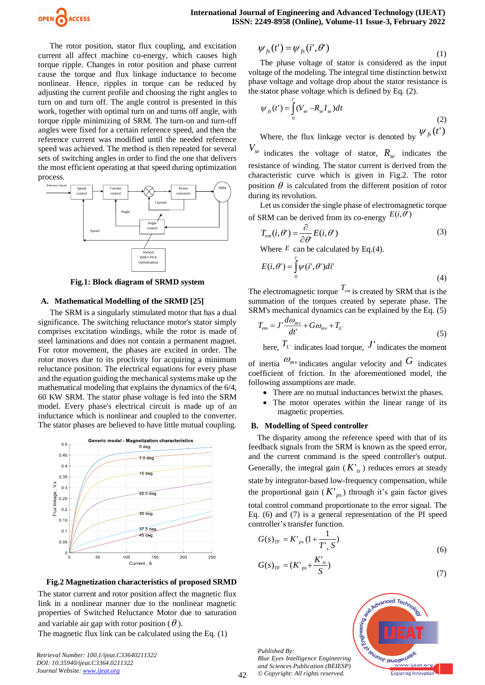

The rotor position, stator flux coupling, and excitation current all affect machine co-energy, which causes high torque ripple. Changes in rotor position and phase current cause the torque and flux linkage inductance to become nonlinear. Hence, ripples in torque can be reduced by adjusting the current profile and choosing the right angles to turn on and turn off. The angle control is presented in this work, together with optimal turn on and turns off angle, with torque ripple minimizing of SRM. The turn-on and turn-off angles were fixed for a certain reference speed, and then the reference current was modified until the needed reference speed was achieved. The method is then repeated for several sets of switching angles in order to find the one that delivers the most efficient operating at that speed during optimization process.



**Fig.1: Block diagram of SRMD system**

## **A. Mathematical Modelling of the SRMD [25]**

The SRM is a singularly stimulated motor that has a dual significance. The switching reluctance motor's stator simply comprises excitation windings, while the rotor is made of steel laminations and does not contain a permanent magnet. For rotor movement, the phases are excited in order. The rotor moves due to its proclivity for acquiring a minimum reluctance position. The electrical equations for every phase and the equation guiding the mechanical systems make up the mathematical modeling that explains the dynamics of the 6/4, 60 KW SRM. The stator phase voltage is fed into the SRM model. Every phase's electrical circuit is made up of an inductance which is nonlinear and coupled to the converter. The stator phases are believed to have little mutual coupling.



**Fig.2 Magnetization characteristics of proposed SRMD**

The stator current and rotor position affect the magnetic flux link in a nonlinear manner due to the nonlinear magnetic properties of Switched Reluctance Motor due to saturation and variable air gap with rotor position ( $\theta$ ).

The magnetic flux link can be calculated using the Eq. (1)

*Retrieval Number: 100.1/ijeat.C33640211322 DOI: 10.35940/ijeat.C3364.0211322 Journal Website: [www.ijeat.org](http://www.ijeat.org/)* 

$$
\psi_{fs}(t') = \psi_{fs}(i', \theta')
$$
\n(1)

The phase voltage of stator is considered as the input voltage of the modeling. The integral time distinction betwixt phase voltage and voltage drop about the stator resistance is the stator phase voltage which is defined by Eq. (2).

$$
\psi_{fs}(t') = \int_{0}^{t} (V_{se} - R_{se} I_{se}) dt
$$
\n(2)

Where, the flux linkage vector is denoted by  $\psi_{fs}(t)$ 

*Vse* indicates the voltage of stator,  $R_{se}$  indicates the resistance of winding. The stator current is derived from the characteristic curve which is given in Fig.2. The rotor position  $\theta$  is calculated from the different position of rotor during its revolution.

Let us consider the single phase of electromagnetic torque of SRM can be derived from its co-energy  $E(i, \theta')$ 

$$
T_{em}(i,\theta') = \frac{\partial}{\partial \theta'} E(i,\theta')
$$
 (3)

Where  $E$  can be calculated by Eq.(4).

$$
E(i, \theta') = \int_{0}^{i} \psi(i', \theta') di'
$$
 (4)

The electromagnetic torque  $T_{em}$  is created by SRM that is the summation of the torques created by seperate phase. The SRM's mechanical dynamics can be explained by the Eq. (5)

$$
T_{em} = J' \frac{d\omega_{mv}}{dt'} + G\omega_{mv} + T_L
$$
\n<sup>(5)</sup>

here,  $T_L$  indicates load torque,  $J'$  indicates the moment

of inertia  $\mathcal{O}_{m\nu}$  indicates angular velocity and  $G$  indicates coefficient of friction. In the aforementioned model, the following assumptions are made.

- There are no mutual inductances betwixt the phases.
- The motor operates within the linear range of its magnetic properties.

#### **B. Modelling of Speed controller**

The disparity among the reference speed with that of its feedback signals from the SRM is known as the speed error, and the current command is the speed controller's output. Generally, the integral gain  $(K'_{is})$  reduces errors at steady state by integrator-based low-frequency compensation, while the proportional gain  $(K'_{ps})$  through it's gain factor gives total control command proportionate to the error signal. The Eq. (6) and (7) is a general representation of the PI speed controller's transfer function.

$$
G(s)_{TF} = K'_{ps} (1 + \frac{1}{T'_{s} S})
$$
\n<sup>(6)</sup>

$$
G(s)_{TF} = (K'_{ps} + \frac{K'_{is}}{S})
$$
\n(7)

*Published By: Blue Eyes Intelligence Engineering and Sciences Publication (BEIESP) © Copyright: All rights reserved.*



42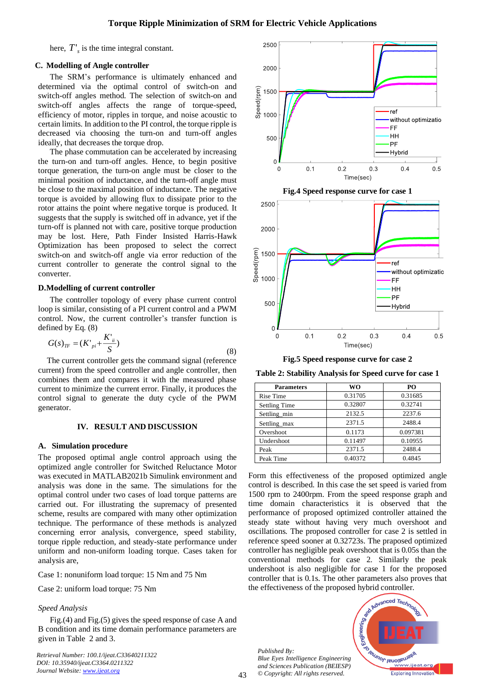here,  $T'_{s}$  is the time integral constant.

# **C. Modelling of Angle controller**

The SRM's performance is ultimately enhanced and determined via the optimal control of switch-on and switch-off angles method. The selection of switch-on and switch-off angles affects the range of torque-speed, efficiency of motor, ripples in torque, and noise acoustic to certain limits. In addition to the PI control, the torque ripple is decreased via choosing the turn-on and turn-off angles ideally, that decreases the torque drop.

The phase commutation can be accelerated by increasing the turn-on and turn-off angles. Hence, to begin positive torque generation, the turn-on angle must be closer to the minimal position of inductance, and the turn-off angle must be close to the maximal position of inductance. The negative torque is avoided by allowing flux to dissipate prior to the rotor attains the point where negative torque is produced. It suggests that the supply is switched off in advance, yet if the turn-off is planned not with care, positive torque production may be lost. Here, Path Finder Insisted Harris-Hawk Optimization has been proposed to select the correct switch-on and switch-off angle via error reduction of the current controller to generate the control signal to the converter.

#### **D.Modelling of current controller**

The controller topology of every phase current control loop is similar, consisting of a PI current control and a PWM control. Now, the current controller's transfer function is defined by Eq. (8)

$$
G(s)_{TF} = (K'_{pi} + \frac{K'_{ii}}{S})
$$
\n(8)

The current controller gets the command signal (reference current) from the speed controller and angle controller, then combines them and compares it with the measured phase current to minimize the current error. Finally, it produces the control signal to generate the duty cycle of the PWM generator.

#### **IV. RESULT AND DISCUSSION**

#### **A. Simulation procedure**

The proposed optimal angle control approach using the optimized angle controller for Switched Reluctance Motor was executed in MATLAB2021b Simulink environment and analysis was done in the same. The simulations for the optimal control under two cases of load torque patterns are carried out. For illustrating the supremacy of presented scheme, results are compared with many other optimization technique. The performance of these methods is analyzed concerning error analysis, convergence, speed stability, torque ripple reduction, and steady-state performance under uniform and non-uniform loading torque. Cases taken for analysis are,

Case 1: nonuniform load torque: 15 Nm and 75 Nm

Case 2: uniform load torque: 75 Nm

#### *Speed Analysis*

Fig.(4) and Fig.(5) gives the speed response of case A and B condition and its time domain performance parameters are given in Table 2 and 3.

*Retrieval Number: 100.1/ijeat.C33640211322 DOI: 10.35940/ijeat.C3364.0211322 Journal Website: [www.ijeat.org](http://www.ijeat.org/)* 







**Table 2: Stability Analysis for Speed curve for case 1**

| <b>Parameters</b>    | <b>WO</b> | PО       |
|----------------------|-----------|----------|
| Rise Time            | 0.31705   | 0.31685  |
| <b>Settling Time</b> | 0.32807   | 0.32741  |
| Settling_min         | 2132.5    | 2237.6   |
| Settling_max         | 2371.5    | 2488.4   |
| Overshoot            | 0.1173    | 0.097381 |
| Undershoot           | 0.11497   | 0.10955  |
| Peak                 | 2371.5    | 2488.4   |
| Peak Time            | 0.40372   | 0.4845   |

Form this effectiveness of the proposed optimized angle control is described. In this case the set speed is varied from 1500 rpm to 2400rpm. From the speed response graph and time domain characteristics it is observed that the performance of proposed optimized controller attained the steady state without having very much overshoot and oscillations. The proposed controller for case 2 is settled in reference speed sooner at 0.32723s. The praposed optimized controller has negligible peak overshoot that is 0.05s than the conventional methods for case 2. Similarly the peak undershoot is also negligible for case 1 for the proposed controller that is 0.1s. The other parameters also proves that the effectiveness of the proposed hybrid controller.

*Published By: Blue Eyes Intelligence Engineering and Sciences Publication (BEIESP) © Copyright: All rights reserved.*

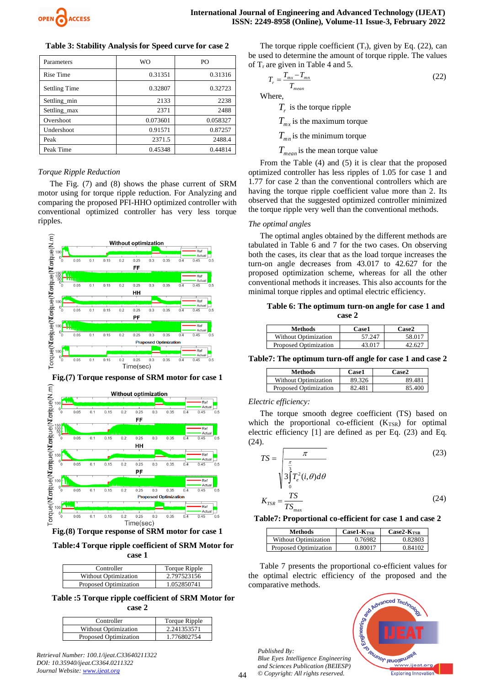

| Table 3: Stability Analysis for Speed curve for case 2 |  |  |  |  |
|--------------------------------------------------------|--|--|--|--|
|                                                        |  |  |  |  |

| Parameters           | <b>WO</b> | P <sub>O</sub> |
|----------------------|-----------|----------------|
| Rise Time            | 0.31351   | 0.31316        |
| <b>Settling Time</b> | 0.32807   | 0.32723        |
| Settling_min         | 2133      | 2238           |
| Settling_max         | 2371      | 2488           |
| Overshoot            | 0.073601  | 0.058327       |
| Undershoot           | 0.91571   | 0.87257        |
| Peak                 | 2371.5    | 2488.4         |
| Peak Time            | 0.45348   | 0.44814        |

# *Torque Ripple Reduction*

The Fig. (7) and (8) shows the phase current of SRM motor using for torque ripple reduction. For Analyzing and comparing the proposed PFI-HHO optimized controller with conventional optimized controller has very less torque ripples.





**Fig.(7) Torque response of SRM motor for case 1**

**Fig.(8) Torque response of SRM motor for case 1**

**Table:4 Torque ripple coefficient of SRM Motor for case 1**

| Controller                  | <b>Torque Ripple</b> |
|-----------------------------|----------------------|
| <b>Without Optimization</b> | 2.797523156          |
| Proposed Optimization       | 1.052850741          |

**Table :5 Torque ripple coefficient of SRM Motor for case 2**

| Controller                  | Torque Ripple |
|-----------------------------|---------------|
| <b>Without Optimization</b> | 2.241353571   |
| Proposed Optimization       | 1.776802754   |

*Retrieval Number: 100.1/ijeat.C33640211322 DOI: 10.35940/ijeat.C3364.0211322 Journal Website: [www.ijeat.org](http://www.ijeat.org/)* 

The torque ripple coefficient  $(T_r)$ , given by Eq. (22), can be used to determine the amount of torque ripple. The values of  $T_r$  are given in Table 4 and 5.

$$
T_r = \frac{T_{mx} - T_{mn}}{T_{mean}}
$$
\n(22)

Where,

*Tr* is the torque ripple

 $T_{mx}$  is the maximum torque

 $T_{mn}$  is the minimum torque

*Tmean* is the mean torque value

From the Table (4) and (5) it is clear that the proposed optimized controller has less ripples of 1.05 for case 1 and 1.77 for case 2 than the conventional controllers which are having the torque ripple coefficient value more than 2. Its observed that the suggested optimized controller minimized the torque ripple very well than the conventional methods.

#### *The optimal angles*

The optimal angles obtained by the different methods are tabulated in Table 6 and 7 for the two cases. On observing both the cases, its clear that as the load torque increases the turn-on angle decreases from 43.017 to 42.627 for the proposed optimization scheme, whereas for all the other conventional methods it increases. This also accounts for the minimal torque ripples and optimal electric efficiency.

**Table 6: The optimum turn-on angle for case 1 and case 2**

| Methods                     | <b>Case1</b> | Case2  |
|-----------------------------|--------------|--------|
| <b>Without Optimization</b> | 57.247       | 58.017 |
| Proposed Optimization       | 43 017       |        |

**Table7: The optimum turn-off angle for case 1 and case 2**

| Methods                     | Case1  | Case2  |
|-----------------------------|--------|--------|
| <b>Without Optimization</b> | 89.326 | 89.481 |
| Proposed Optimization       | 82.481 | 85.400 |

## *Electric efficiency:*

The torque smooth degree coefficient (TS) based on which the proportional co-efficient  $(K_{TSR})$  for optimal electric efficiency [1] are defined as per Eq. (23) and Eq. (24).

$$
TS = \frac{\pi}{\sqrt{\frac{\pi}{3}}} \tag{23}
$$
\n
$$
K_{TSR} = \frac{TS}{TS_{\text{max}}} \tag{24}
$$

**Table7: Proportional co-efficient for case 1 and case 2**

| Methods               | $Case1-KTSR$ | $Case2-KTSR$ |
|-----------------------|--------------|--------------|
| Without Optimization  | 0.76982      | 0.8280?      |
| Proposed Optimization | 0.80017      | 0.84102      |

Table 7 presents the proportional co-efficient values for the optimal electric efficiency of the proposed and the comparative methods.





 $\Delta\Delta$